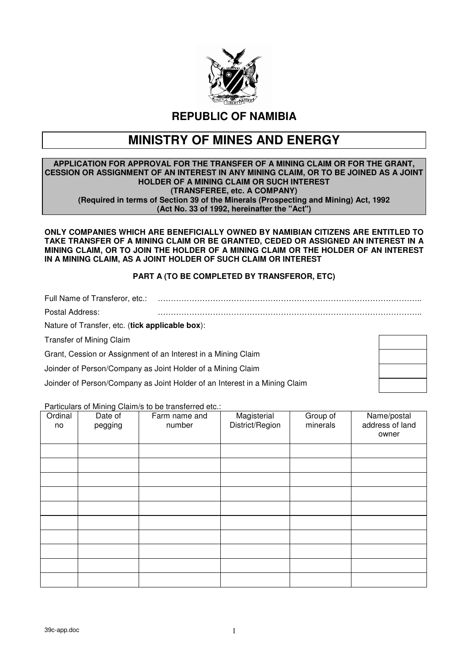

**REPUBLIC OF NAMIBIA** 

# **MINISTRY OF MINES AND ENERGY**

#### **APPLICATION FOR APPROVAL FOR THE TRANSFER OF A MINING CLAIM OR FOR THE GRANT, CESSION OR ASSIGNMENT OF AN INTEREST IN ANY MINING CLAIM, OR TO BE JOINED AS A JOINT HOLDER OF A MINING CLAIM OR SUCH INTEREST (TRANSFEREE, etc. A COMPANY) (Required in terms of Section 39 of the Minerals (Prospecting and Mining) Act, 1992 (Act No. 33 of 1992, hereinafter the "Act")**

**ONLY COMPANIES WHICH ARE BENEFICIALLY OWNED BY NAMIBIAN CITIZENS ARE ENTITLED TO TAKE TRANSFER OF A MINING CLAIM OR BE GRANTED, CEDED OR ASSIGNED AN INTEREST IN A MINING CLAIM, OR TO JOIN THE HOLDER OF A MINING CLAIM OR THE HOLDER OF AN INTEREST IN A MINING CLAIM, AS A JOINT HOLDER OF SUCH CLAIM OR INTEREST** 

## **PART A (TO BE COMPLETED BY TRANSFEROR, ETC)**

Full Name of Transferor, etc.: ……………………………………………………………………………………….. Postal Address: ……………………………………………………………………………………….. Nature of Transfer, etc. (**tick applicable box**):

Transfer of Mining Claim

Grant, Cession or Assignment of an Interest in a Mining Claim

Joinder of Person/Company as Joint Holder of a Mining Claim

Joinder of Person/Company as Joint Holder of an Interest in a Mining Claim

Particulars of Mining Claim/s to be transferred etc.:

| Ordinal<br>no | Date of<br>pegging | Farm name and<br>number | Magisterial<br>District/Region | Group of<br>minerals | Name/postal<br>address of land<br>owner |
|---------------|--------------------|-------------------------|--------------------------------|----------------------|-----------------------------------------|
|               |                    |                         |                                |                      |                                         |
|               |                    |                         |                                |                      |                                         |
|               |                    |                         |                                |                      |                                         |
|               |                    |                         |                                |                      |                                         |
|               |                    |                         |                                |                      |                                         |
|               |                    |                         |                                |                      |                                         |
|               |                    |                         |                                |                      |                                         |
|               |                    |                         |                                |                      |                                         |
|               |                    |                         |                                |                      |                                         |
|               |                    |                         |                                |                      |                                         |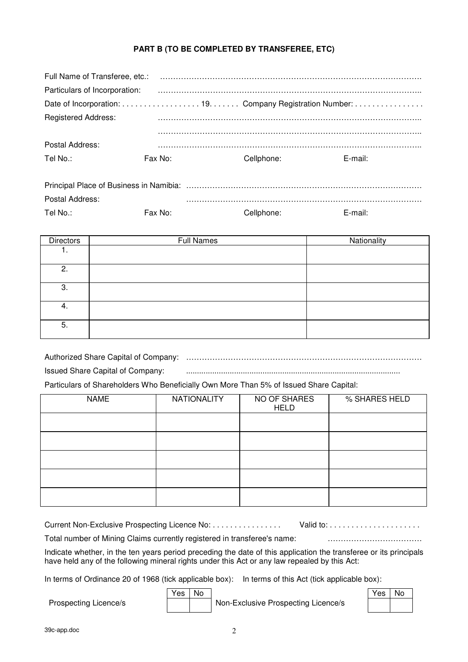## **PART B (TO BE COMPLETED BY TRANSFEREE, ETC)**

| Full Name of Transferee, etc.: |         |            |            |
|--------------------------------|---------|------------|------------|
| Particulars of Incorporation:  |         |            |            |
|                                |         |            |            |
| <b>Registered Address:</b>     |         |            |            |
|                                |         |            |            |
| Postal Address:                |         |            |            |
| Tel No.:                       | Fax No: | Cellphone: | $E$ -mail: |
|                                |         |            |            |
| Postal Address:                |         |            |            |
| Tel No.:                       | Fax No: | Cellphone: | E-mail:    |

| <b>Directors</b> | <b>Full Names</b> | Nationality |
|------------------|-------------------|-------------|
| . .              |                   |             |
| 2.               |                   |             |
| 3.               |                   |             |
| 4.               |                   |             |
| 5.               |                   |             |

Authorized Share Capital of Company: ……………………………………………………………………………… Issued Share Capital of Company: .................................................................................................. Particulars of Shareholders Who Beneficially Own More Than 5% of Issued Share Capital:

| <b>NAME</b> | <b>NATIONALITY</b> | NO OF SHARES<br><b>HELD</b> | % SHARES HELD |
|-------------|--------------------|-----------------------------|---------------|
|             |                    |                             |               |
|             |                    |                             |               |
|             |                    |                             |               |
|             |                    |                             |               |
|             |                    |                             |               |

| Current Non-Exclusive Prospecting Licence No:                            |  |
|--------------------------------------------------------------------------|--|
| Total number of Mining Claims currently registered in transferee's name: |  |

Indicate whether, in the ten years period preceding the date of this application the transferee or its principals have held any of the following mineral rights under this Act or any law repealed by this Act:

In terms of Ordinance 20 of 1968 (tick applicable box): In terms of this Act (tick applicable box):

 Yes No Yes No Prospecting Licence/s Non-Exclusive Prospecting Licence/s

| es | o |
|----|---|
|    |   |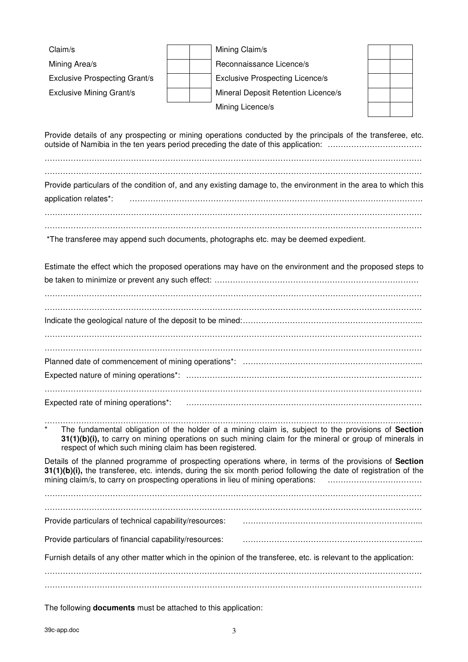| Claim/s<br>Mining Area/s<br><b>Exclusive Prospecting Grant/s</b><br><b>Exclusive Mining Grant/s</b> | Mining Claim/s<br>Reconnaissance Licence/s<br><b>Exclusive Prospecting Licence/s</b><br>Mineral Deposit Retention Licence/s<br>Mining Licence/s                                                                             |
|-----------------------------------------------------------------------------------------------------|-----------------------------------------------------------------------------------------------------------------------------------------------------------------------------------------------------------------------------|
|                                                                                                     | Provide details of any prospecting or mining operations conducted by the principals of the transferee, etc.<br>outside of Namibia in the ten years period preceding the date of this application:                           |
| application relates*:                                                                               | Provide particulars of the condition of, and any existing damage to, the environment in the area to which this                                                                                                              |
| *The transferee may append such documents, photographs etc. may be deemed expedient.                |                                                                                                                                                                                                                             |
|                                                                                                     | Estimate the effect which the proposed operations may have on the environment and the proposed steps to                                                                                                                     |
|                                                                                                     |                                                                                                                                                                                                                             |
|                                                                                                     |                                                                                                                                                                                                                             |
| Expected rate of mining operations*:                                                                |                                                                                                                                                                                                                             |
| $\star$<br>respect of which such mining claim has been registered.                                  | The fundamental obligation of the holder of a mining claim is, subject to the provisions of Section<br>31(1)(b)(i), to carry on mining operations on such mining claim for the mineral or group of minerals in              |
| mining claim/s, to carry on prospecting operations in lieu of mining operations:                    | Details of the planned programme of prospecting operations where, in terms of the provisions of Section<br>31(1)(b)(i), the transferee, etc. intends, during the six month period following the date of registration of the |
|                                                                                                     |                                                                                                                                                                                                                             |
|                                                                                                     |                                                                                                                                                                                                                             |
| Provide particulars of financial capability/resources:                                              |                                                                                                                                                                                                                             |
|                                                                                                     | Furnish details of any other matter which in the opinion of the transferee, etc. is relevant to the application:                                                                                                            |
|                                                                                                     |                                                                                                                                                                                                                             |

The following **documents** must be attached to this application: